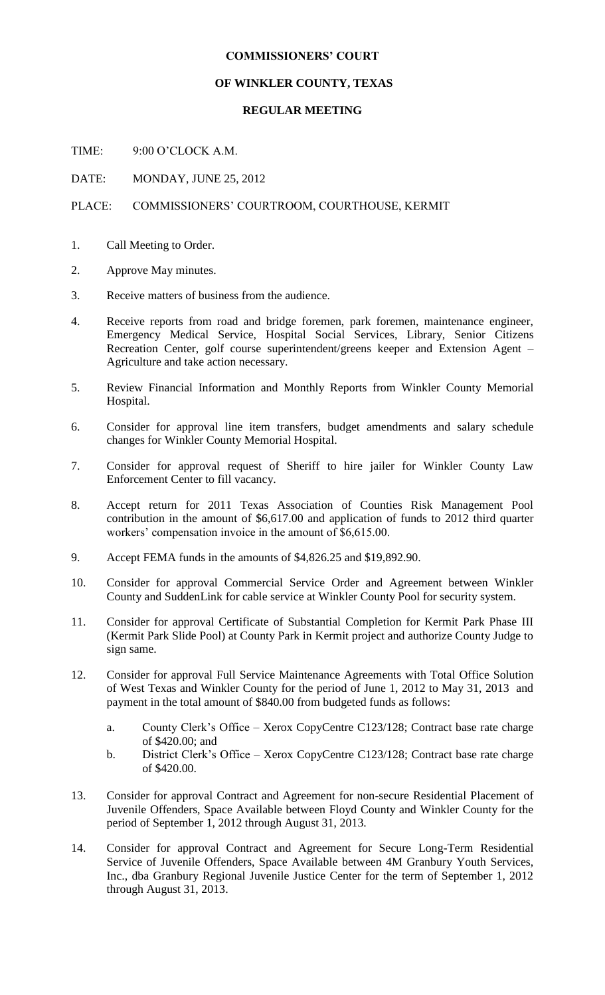## **COMMISSIONERS' COURT**

## **OF WINKLER COUNTY, TEXAS**

## **REGULAR MEETING**

TIME: 9:00 O'CLOCK A.M.

DATE: MONDAY, JUNE 25, 2012

## PLACE: COMMISSIONERS' COURTROOM, COURTHOUSE, KERMIT

- 1. Call Meeting to Order.
- 2. Approve May minutes.
- 3. Receive matters of business from the audience.
- 4. Receive reports from road and bridge foremen, park foremen, maintenance engineer, Emergency Medical Service, Hospital Social Services, Library, Senior Citizens Recreation Center, golf course superintendent/greens keeper and Extension Agent – Agriculture and take action necessary.
- 5. Review Financial Information and Monthly Reports from Winkler County Memorial Hospital.
- 6. Consider for approval line item transfers, budget amendments and salary schedule changes for Winkler County Memorial Hospital.
- 7. Consider for approval request of Sheriff to hire jailer for Winkler County Law Enforcement Center to fill vacancy.
- 8. Accept return for 2011 Texas Association of Counties Risk Management Pool contribution in the amount of \$6,617.00 and application of funds to 2012 third quarter workers' compensation invoice in the amount of \$6,615.00.
- 9. Accept FEMA funds in the amounts of \$4,826.25 and \$19,892.90.
- 10. Consider for approval Commercial Service Order and Agreement between Winkler County and SuddenLink for cable service at Winkler County Pool for security system.
- 11. Consider for approval Certificate of Substantial Completion for Kermit Park Phase III (Kermit Park Slide Pool) at County Park in Kermit project and authorize County Judge to sign same.
- 12. Consider for approval Full Service Maintenance Agreements with Total Office Solution of West Texas and Winkler County for the period of June 1, 2012 to May 31, 2013 and payment in the total amount of \$840.00 from budgeted funds as follows:
	- a. County Clerk's Office Xerox CopyCentre C123/128; Contract base rate charge of \$420.00; and
	- b. District Clerk's Office Xerox CopyCentre C123/128; Contract base rate charge of \$420.00.
- 13. Consider for approval Contract and Agreement for non-secure Residential Placement of Juvenile Offenders, Space Available between Floyd County and Winkler County for the period of September 1, 2012 through August 31, 2013.
- 14. Consider for approval Contract and Agreement for Secure Long-Term Residential Service of Juvenile Offenders, Space Available between 4M Granbury Youth Services, Inc., dba Granbury Regional Juvenile Justice Center for the term of September 1, 2012 through August 31, 2013.